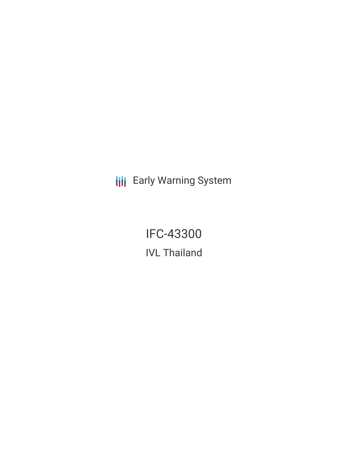**III** Early Warning System

IFC-43300 IVL Thailand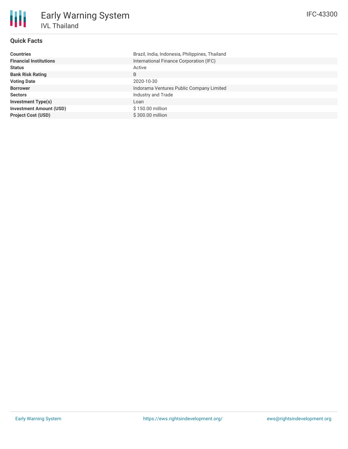# **Quick Facts**

朋

| <b>Countries</b>               | Brazil, India, Indonesia, Philippines, Thailand |  |  |  |
|--------------------------------|-------------------------------------------------|--|--|--|
| <b>Financial Institutions</b>  | International Finance Corporation (IFC)         |  |  |  |
| <b>Status</b>                  | Active                                          |  |  |  |
| <b>Bank Risk Rating</b>        | B                                               |  |  |  |
| <b>Voting Date</b>             | 2020-10-30                                      |  |  |  |
| <b>Borrower</b>                | Indorama Ventures Public Company Limited        |  |  |  |
| <b>Sectors</b>                 | Industry and Trade                              |  |  |  |
| <b>Investment Type(s)</b>      | Loan                                            |  |  |  |
| <b>Investment Amount (USD)</b> | \$150.00 million                                |  |  |  |
| <b>Project Cost (USD)</b>      | \$300.00 million                                |  |  |  |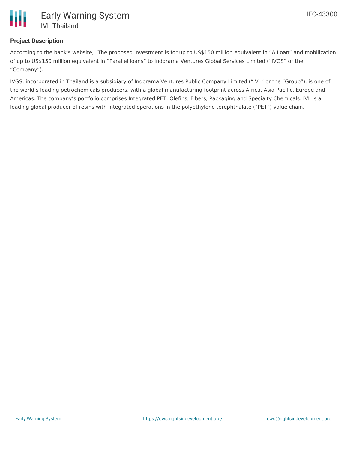

# **Project Description**

According to the bank's website, "The proposed investment is for up to US\$150 million equivalent in "A Loan" and mobilization of up to US\$150 million equivalent in "Parallel loans" to Indorama Ventures Global Services Limited ("IVGS" or the "Company").

IVGS, incorporated in Thailand is a subsidiary of Indorama Ventures Public Company Limited ("IVL" or the "Group"), is one of the world's leading petrochemicals producers, with a global manufacturing footprint across Africa, Asia Pacific, Europe and Americas. The company's portfolio comprises Integrated PET, Olefins, Fibers, Packaging and Specialty Chemicals. IVL is a leading global producer of resins with integrated operations in the polyethylene terephthalate ("PET") value chain."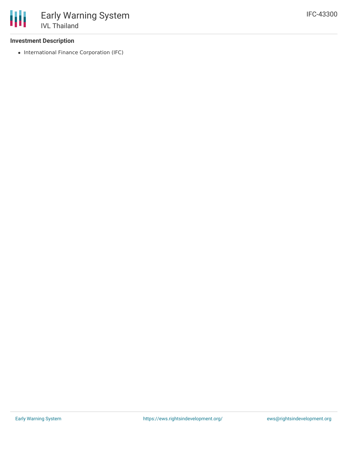### **Investment Description**

• International Finance Corporation (IFC)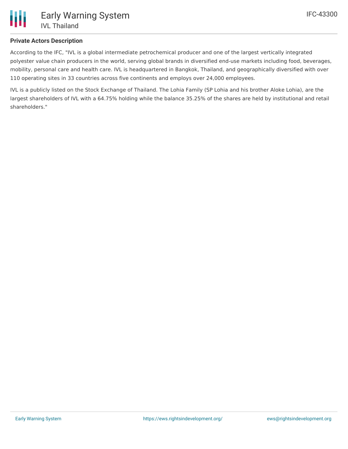

## **Private Actors Description**

According to the IFC, "IVL is a global intermediate petrochemical producer and one of the largest vertically integrated polyester value chain producers in the world, serving global brands in diversified end-use markets including food, beverages, mobility, personal care and health care. IVL is headquartered in Bangkok, Thailand, and geographically diversified with over 110 operating sites in 33 countries across five continents and employs over 24,000 employees.

IVL is a publicly listed on the Stock Exchange of Thailand. The Lohia Family (SP Lohia and his brother Aloke Lohia), are the largest shareholders of IVL with a 64.75% holding while the balance 35.25% of the shares are held by institutional and retail shareholders."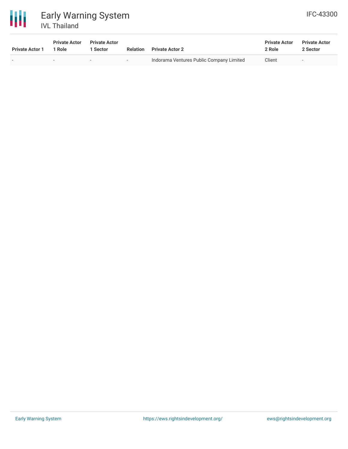

| <b>Private Actor 1</b>   | <b>Private Actor</b><br>1 Role | <b>Private Actor</b><br>. Sector | <b>Relation</b> | <b>Private Actor 2</b>                   | <b>Private Actor</b><br>2 Role | <b>Private Actor</b><br>2 Sector |
|--------------------------|--------------------------------|----------------------------------|-----------------|------------------------------------------|--------------------------------|----------------------------------|
| $\overline{\phantom{0}}$ |                                | $\overline{\phantom{0}}$         | $\sim$          | Indorama Ventures Public Company Limited | Client                         | $-$                              |